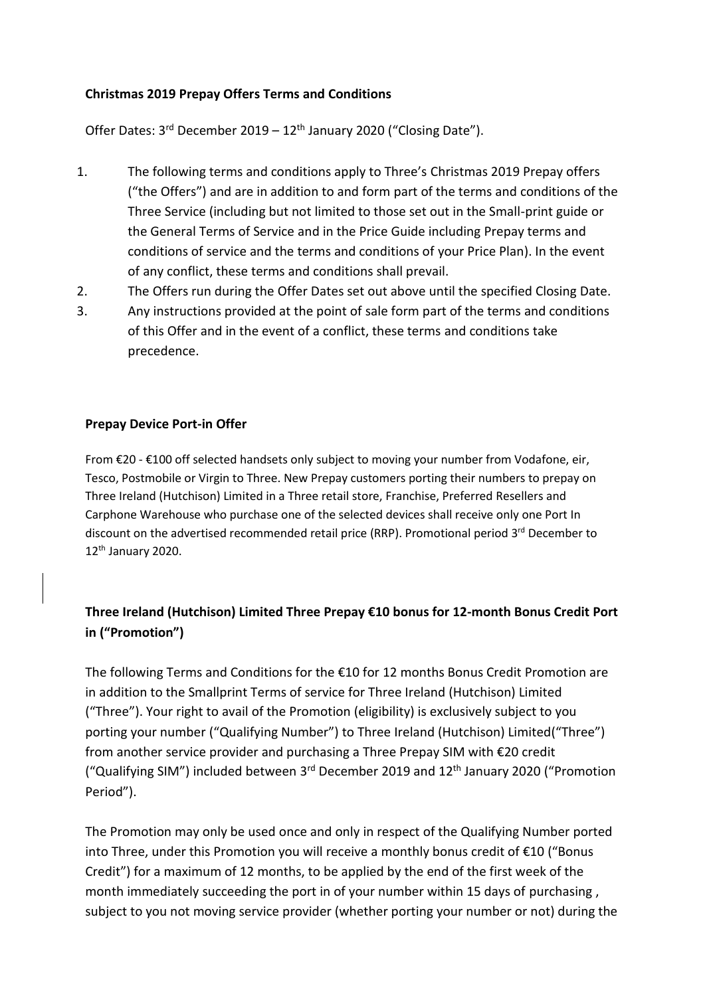## **Christmas 2019 Prepay Offers Terms and Conditions**

Offer Dates: 3<sup>rd</sup> December 2019 - 12<sup>th</sup> January 2020 ("Closing Date").

- 1. The following terms and conditions apply to Three's Christmas 2019 Prepay offers ("the Offers") and are in addition to and form part of the terms and conditions of the Three Service (including but not limited to those set out in the Small-print guide or the General Terms of Service and in the Price Guide including Prepay terms and conditions of service and the terms and conditions of your Price Plan). In the event of any conflict, these terms and conditions shall prevail.
- 2. The Offers run during the Offer Dates set out above until the specified Closing Date.
- 3. Any instructions provided at the point of sale form part of the terms and conditions of this Offer and in the event of a conflict, these terms and conditions take precedence.

## **Prepay Device Port-in Offer**

From €20 - €100 off selected handsets only subject to moving your number from Vodafone, eir, Tesco, Postmobile or Virgin to Three. New Prepay customers porting their numbers to prepay on Three Ireland (Hutchison) Limited in a Three retail store, Franchise, Preferred Resellers and Carphone Warehouse who purchase one of the selected devices shall receive only one Port In discount on the advertised recommended retail price (RRP). Promotional period 3<sup>rd</sup> December to 12th January 2020.

## **Three Ireland (Hutchison) Limited Three Prepay €10 bonus for 12-month Bonus Credit Port in ("Promotion")**

The following Terms and Conditions for the €10 for 12 months Bonus Credit Promotion are in addition to the Smallprint Terms of service for Three Ireland (Hutchison) Limited ("Three"). Your right to avail of the Promotion (eligibility) is exclusively subject to you porting your number ("Qualifying Number") to Three Ireland (Hutchison) Limited("Three") from another service provider and purchasing a Three Prepay SIM with €20 credit ("Qualifying SIM") included between 3<sup>rd</sup> December 2019 and 12<sup>th</sup> January 2020 ("Promotion Period").

The Promotion may only be used once and only in respect of the Qualifying Number ported into Three, under this Promotion you will receive a monthly bonus credit of €10 ("Bonus Credit") for a maximum of 12 months, to be applied by the end of the first week of the month immediately succeeding the port in of your number within 15 days of purchasing , subject to you not moving service provider (whether porting your number or not) during the